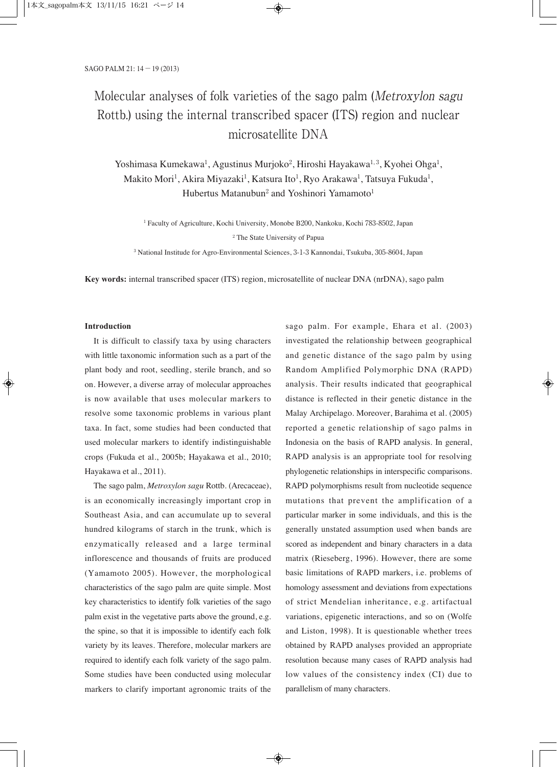# Molecular analyses of folk varieties of the sago palm (Metroxylon sagu Rottb.) using the internal transcribed spacer (ITS) region and nuclear microsatellite DNA

Yoshimasa Kumekawa<sup>1</sup>, Agustinus Murjoko<sup>2</sup>, Hiroshi Hayakawa<sup>1,3</sup>, Kyohei Ohga<sup>1</sup>, Makito Mori<sup>1</sup>, Akira Miyazaki<sup>1</sup>, Katsura Ito<sup>1</sup>, Ryo Arakawa<sup>1</sup>, Tatsuya Fukuda<sup>1</sup>, Hubertus Matanubun<sup>2</sup> and Yoshinori Yamamoto<sup>1</sup>

<sup>1</sup> Faculty of Agriculture, Kochi University, Monobe B200, Nankoku, Kochi 783-8502, Japan <sup>2</sup> The State University of Papua

<sup>3</sup> National Institude for Agro-Environmental Sciences, 3-1-3 Kannondai, Tsukuba, 305-8604, Japan

**Key words:** internal transcribed spacer (ITS) region, microsatellite of nuclear DNA (nrDNA), sago palm

# **Introduction**

It is difficult to classify taxa by using characters with little taxonomic information such as a part of the plant body and root, seedling, sterile branch, and so on. However, a diverse array of molecular approaches is now available that uses molecular markers to resolve some taxonomic problems in various plant taxa. In fact, some studies had been conducted that used molecular markers to identify indistinguishable crops (Fukuda et al., 2005b; Hayakawa et al., 2010; Hayakawa et al., 2011).

The sago palm, *Metroxylon sagu* Rottb. (Arecaceae), is an economically increasingly important crop in Southeast Asia, and can accumulate up to several hundred kilograms of starch in the trunk, which is enzymatically released and a large terminal inflorescence and thousands of fruits are produced (Yamamoto 2005). However, the morphological characteristics of the sago palm are quite simple. Most key characteristics to identify folk varieties of the sago palm exist in the vegetative parts above the ground, e.g. the spine, so that it is impossible to identify each folk variety by its leaves. Therefore, molecular markers are required to identify each folk variety of the sago palm. Some studies have been conducted using molecular markers to clarify important agronomic traits of the

sago palm. For example, Ehara et al. (2003) investigated the relationship between geographical and genetic distance of the sago palm by using Random Amplified Polymorphic DNA (RAPD) analysis. Their results indicated that geographical distance is reflected in their genetic distance in the Malay Archipelago. Moreover, Barahima et al. (2005) reported a genetic relationship of sago palms in Indonesia on the basis of RAPD analysis. In general, RAPD analysis is an appropriate tool for resolving phylogenetic relationships in interspecific comparisons. RAPD polymorphisms result from nucleotide sequence mutations that prevent the amplification of a particular marker in some individuals, and this is the generally unstated assumption used when bands are scored as independent and binary characters in a data matrix (Rieseberg, 1996). However, there are some basic limitations of RAPD markers, i.e. problems of homology assessment and deviations from expectations of strict Mendelian inheritance, e.g. artifactual variations, epigenetic interactions, and so on (Wolfe and Liston, 1998). It is questionable whether trees obtained by RAPD analyses provided an appropriate resolution because many cases of RAPD analysis had low values of the consistency index (CI) due to parallelism of many characters.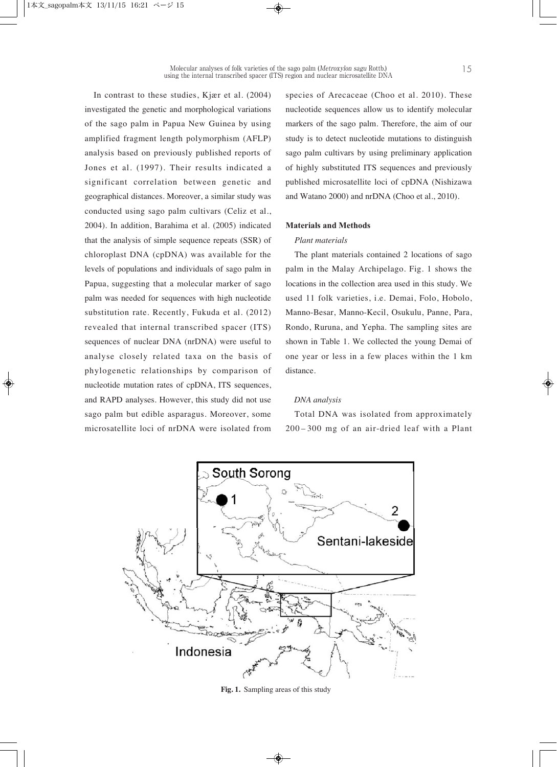In contrast to these studies, Kjær et al. (2004) investigated the genetic and morphological variations of the sago palm in Papua New Guinea by using amplified fragment length polymorphism (AFLP) analysis based on previously published reports of Jones et al. (1997). Their results indicated a significant correlation between genetic and geographical distances. Moreover, a similar study was conducted using sago palm cultivars (Celiz et al., 2004). In addition, Barahima et al. (2005) indicated that the analysis of simple sequence repeats (SSR) of chloroplast DNA (cpDNA) was available for the levels of populations and individuals of sago palm in Papua, suggesting that a molecular marker of sago palm was needed for sequences with high nucleotide substitution rate. Recently, Fukuda et al. (2012) revealed that internal transcribed spacer (ITS) sequences of nuclear DNA (nrDNA) were useful to analyse closely related taxa on the basis of phylogenetic relationships by comparison of nucleotide mutation rates of cpDNA, ITS sequences, and RAPD analyses. However, this study did not use sago palm but edible asparagus. Moreover, some microsatellite loci of nrDNA were isolated from species of Arecaceae (Choo et al. 2010). These nucleotide sequences allow us to identify molecular markers of the sago palm. Therefore, the aim of our study is to detect nucleotide mutations to distinguish sago palm cultivars by using preliminary application of highly substituted ITS sequences and previously published microsatellite loci of cpDNA (Nishizawa and Watano 2000) and nrDNA (Choo et al., 2010).

## **Materials and Methods**

## *Plant materials*

The plant materials contained 2 locations of sago palm in the Malay Archipelago. Fig. 1 shows the locations in the collection area used in this study. We used 11 folk varieties, i.e. Demai, Folo, Hobolo, Manno-Besar, Manno-Kecil, Osukulu, Panne, Para, Rondo, Ruruna, and Yepha. The sampling sites are shown in Table 1. We collected the young Demai of one year or less in a few places within the 1 km distance.

#### *DNA analysis*

Total DNA was isolated from approximately 200 – 300 mg of an air-dried leaf with a Plant



**Fig. 1.** Sampling areas of this study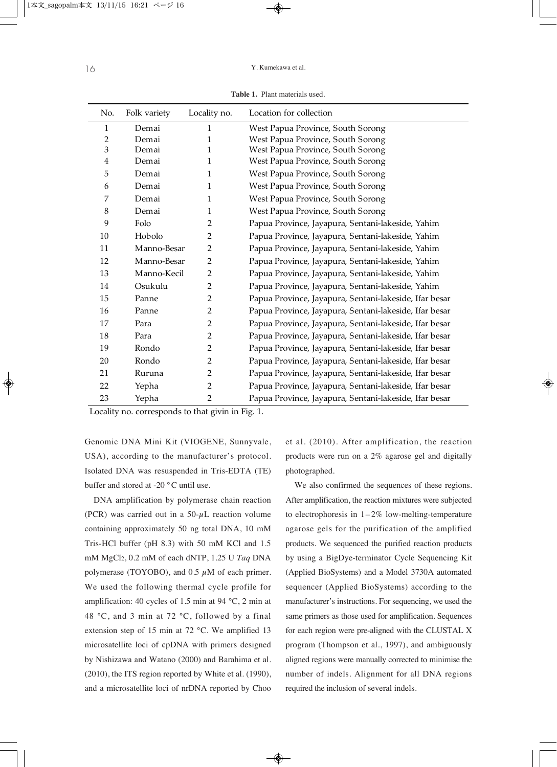| No.            | Folk variety | Locality no.   | Location for collection                                |
|----------------|--------------|----------------|--------------------------------------------------------|
| $\mathbf{1}$   | Demai        | 1              | West Papua Province, South Sorong                      |
| $\overline{2}$ | Demai        | 1              | West Papua Province, South Sorong                      |
| 3              | Demai        | 1              | West Papua Province, South Sorong                      |
| 4              | Demai        | 1              | West Papua Province, South Sorong                      |
| 5              | Demai        | 1              | West Papua Province, South Sorong                      |
| 6              | Demai        | 1              | West Papua Province, South Sorong                      |
| 7              | Demai        | 1              | West Papua Province, South Sorong                      |
| 8              | Demai        | 1              | West Papua Province, South Sorong                      |
| 9              | Folo         | $\overline{2}$ | Papua Province, Jayapura, Sentani-lakeside, Yahim      |
| 10             | Hobolo       | $\overline{2}$ | Papua Province, Jayapura, Sentani-lakeside, Yahim      |
| 11             | Manno-Besar  | 2              | Papua Province, Jayapura, Sentani-lakeside, Yahim      |
| 12             | Manno-Besar  | $\overline{2}$ | Papua Province, Jayapura, Sentani-lakeside, Yahim      |
| 13             | Manno-Kecil  | $\overline{2}$ | Papua Province, Jayapura, Sentani-lakeside, Yahim      |
| 14             | Osukulu      | $\overline{2}$ | Papua Province, Jayapura, Sentani-lakeside, Yahim      |
| 15             | Panne        | $\overline{2}$ | Papua Province, Jayapura, Sentani-lakeside, Ifar besar |
| 16             | Panne        | $\overline{2}$ | Papua Province, Jayapura, Sentani-lakeside, Ifar besar |
| 17             | Para         | $\overline{2}$ | Papua Province, Jayapura, Sentani-lakeside, Ifar besar |
| 18             | Para         | $\overline{2}$ | Papua Province, Jayapura, Sentani-lakeside, Ifar besar |
| 19             | Rondo        | $\overline{2}$ | Papua Province, Jayapura, Sentani-lakeside, Ifar besar |
| 20             | Rondo        | $\overline{2}$ | Papua Province, Jayapura, Sentani-lakeside, Ifar besar |
| 21             | Ruruna       | $\overline{2}$ | Papua Province, Jayapura, Sentani-lakeside, Ifar besar |
| 22             | Yepha        | $\overline{2}$ | Papua Province, Jayapura, Sentani-lakeside, Ifar besar |
| 23             | Yepha        | $\overline{2}$ | Papua Province, Jayapura, Sentani-lakeside, Ifar besar |

Table 1. Plant materials used.

Locality no. corresponds to that givin in Fig. 1.

Genomic DNA Mini Kit (VIOGENE, Sunnyvale, USA), according to the manufacturer's protocol. Isolated DNA was resuspended in Tris-EDTA (TE) buffer and stored at -20 °C until use.

DNA amplification by polymerase chain reaction (PCR) was carried out in a  $50-\mu$ L reaction volume containing approximately 50 ng total DNA, 10 mM Tris-HCl buffer (pH 8.3) with 50 mM KCl and 1.5 mM MgCl2, 0.2 mM of each dNTP, 1.25 U *Taq* DNA polymerase (TOYOBO), and  $0.5 \mu M$  of each primer. We used the following thermal cycle profile for amplification: 40 cycles of 1.5 min at 94 °C, 2 min at 48 °C, and 3 min at 72 °C, followed by a final extension step of 15 min at 72 °C. We amplified 13 microsatellite loci of cpDNA with primers designed by Nishizawa and Watano (2000) and Barahima et al. (2010), the ITS region reported by White et al. (1990), and a microsatellite loci of nrDNA reported by Choo

et al. (2010). After amplification, the reaction products were run on a 2% agarose gel and digitally photographed.

We also confirmed the sequences of these regions. After amplification, the reaction mixtures were subjected to electrophoresis in  $1-2\%$  low-melting-temperature agarose gels for the purification of the amplified products. We sequenced the purified reaction products by using a BigDye-terminator Cycle Sequencing Kit (Applied BioSystems) and a Model 3730A automated sequencer (Applied BioSystems) according to the manufacturer's instructions. For sequencing, we used the same primers as those used for amplification. Sequences for each region were pre-aligned with the CLUSTAL X program (Thompson et al., 1997), and ambiguously aligned regions were manually corrected to minimise the number of indels. Alignment for all DNA regions required the inclusion of several indels.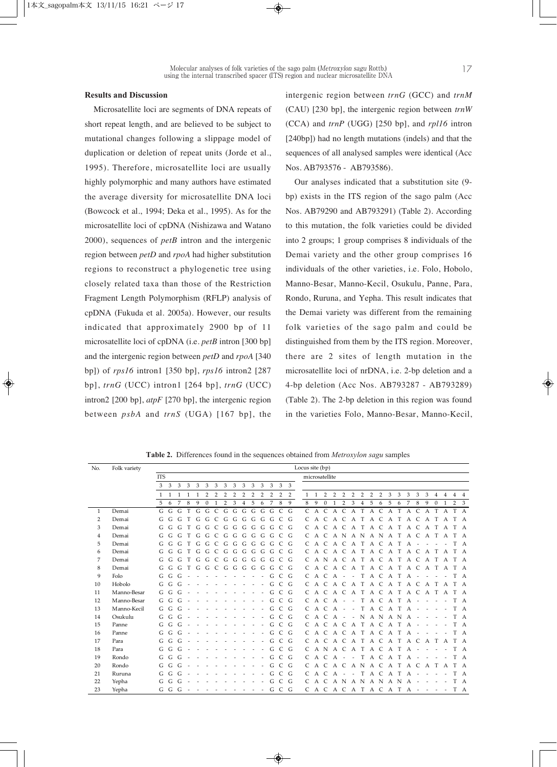## **Results and Discussion**

Microsatellite loci are segments of DNA repeats of short repeat length, and are believed to be subject to mutational changes following a slippage model of duplication or deletion of repeat units (Jorde et al., 1995). Therefore, microsatellite loci are usually highly polymorphic and many authors have estimated the average diversity for microsatellite DNA loci (Bowcock et al., 1994; Deka et al., 1995). As for the microsatellite loci of cpDNA (Nishizawa and Watano 2000), sequences of *petB* intron and the intergenic region between *petD* and *rpoA* had higher substitution regions to reconstruct a phylogenetic tree using closely related taxa than those of the Restriction Fragment Length Polymorphism (RFLP) analysis of cpDNA (Fukuda et al. 2005a). However, our results indicated that approximately 2900 bp of 11 microsatellite loci of cpDNA (i.e. *petB* intron [300 bp] and the intergenic region between *petD* and *rpoA* [340 bp]) of *rps16* intron1 [350 bp], *rps16* intron2 [287 bp], *trnG* (UCC) intron1 [264 bp], *trnG* (UCC) intron2 [200 bp], *atpF* [270 bp], the intergenic region between *psbA* and *trnS* (UGA) [167 bp], the intergenic region between *trnG* (GCC) and *trnM* (CAU) [230 bp], the intergenic region between *trnW* (CCA) and *trnP* (UGG) [250 bp], and *rpl16* intron [240bp]) had no length mutations (indels) and that the sequences of all analysed samples were identical (Acc Nos. AB793576 - AB793586).

Our analyses indicated that a substitution site (9 bp) exists in the ITS region of the sago palm (Acc Nos. AB79290 and AB793291) (Table 2). According to this mutation, the folk varieties could be divided into 2 groups; 1 group comprises 8 individuals of the Demai variety and the other group comprises 16 individuals of the other varieties, i.e. Folo, Hobolo, Manno-Besar, Manno-Kecil, Osukulu, Panne, Para, Rondo, Ruruna, and Yepha. This result indicates that the Demai variety was different from the remaining folk varieties of the sago palm and could be distinguished from them by the ITS region. Moreover, there are 2 sites of length mutation in the microsatellite loci of nrDNA, i.e. 2-bp deletion and a 4-bp deletion (Acc Nos. AB793287 - AB793289) (Table 2). The 2-bp deletion in this region was found in the varieties Folo, Manno-Besar, Manno-Kecil,

| Locus site (bp)<br>Folk variety<br>No. |             |                                                   |                                                                                                               |                                                                                                                                                                    |
|----------------------------------------|-------------|---------------------------------------------------|---------------------------------------------------------------------------------------------------------------|--------------------------------------------------------------------------------------------------------------------------------------------------------------------|
|                                        |             | <b>ITS</b>                                        |                                                                                                               | microsatellite                                                                                                                                                     |
|                                        |             | $3 \quad 3 \quad 3$<br>$\overline{3}$<br>3        | 3<br>3 <sup>7</sup><br>3<br>3<br>3 <sup>3</sup><br>3<br>3<br>3<br>3                                           |                                                                                                                                                                    |
|                                        |             | 1 1<br>$\overline{1}$<br>$1 \quad 1$              | 2<br>2<br>2<br>2<br>2<br>2<br>2<br>2<br>2<br>2                                                                | 2<br>3<br>3<br>3<br>3<br>3<br>$1\quad1$<br>$\overline{2}$<br>2<br>2<br>2<br>2<br>2<br>$\overline{4}$<br>$\overline{4}$<br>$\overline{4}$<br>$\overline{4}$         |
|                                        |             | 8 9<br>7<br>$5^{\circ}$<br>- 6                    | $\overline{2}$<br>3<br>5<br>8<br>$\mathbf{0}$<br>$\overline{1}$<br>$\overline{4}$<br>6<br>7<br>$\overline{9}$ | 5<br>5<br>8<br>8 9<br>$\mathbf{0}$<br>$\overline{2}$<br>3<br>$\overline{4}$<br>6<br>6<br>7<br>9<br>$\mathbf{0}$<br>$2 \quad 3$<br>$\overline{1}$<br>$\overline{1}$ |
| 1                                      | Demai       | T<br>G G<br>G                                     | G G C G G G G G G<br>$C$ $G$                                                                                  | CACATACATACATATA<br>C A                                                                                                                                            |
| $\overline{2}$                         | Demai       | T<br>G<br>G<br>G<br>G                             | G C G G G G G G<br>$\mathcal{C}$<br>G                                                                         | CACATACAT<br>A C A T<br>T A<br>$\mathsf{C}$<br>$\mathsf{A}$<br>$\overline{A}$                                                                                      |
| 3                                      | Demai       | G<br>T<br>G<br>G<br>G                             | G C G G G G G G<br>C G                                                                                        | CACATACATACAT<br>C A<br>A T A                                                                                                                                      |
| 4                                      | Demai       | T<br>G<br>G<br>G                                  | G G C G G G G G G C G                                                                                         | CANANANATACATATA<br>C A                                                                                                                                            |
| 5                                      | Demai       | T<br>G<br>G<br>G<br>G                             | G C G G G G G G<br>$C$ $G$                                                                                    | CACATACATA - -<br>C A<br>T<br>A<br>$\sim$                                                                                                                          |
| 6                                      | Demai       | T<br>G<br>G<br>G<br>G                             | G<br>C G G<br>G G G G<br>$C$ $G$                                                                              | CACATACATACAT<br>T A<br>C<br>$\mathbf{A}$<br>A                                                                                                                     |
| 7                                      | Demai       | T<br>G<br>G<br>G                                  | G G C G G G G G G<br>$C$ $G$                                                                                  | CANACATACATACAT<br>T A<br>$\mathbf{A}$                                                                                                                             |
| 8                                      | Demai       | G<br>T<br>G<br>G<br>G                             | C G G G G G G<br>G<br>$C$ $G$                                                                                 | C A C A T<br>$\mathsf{C}$<br>A C A T<br>A C A T<br>$\mathsf{A}$<br>T A<br>A                                                                                        |
| 9                                      | Folo        | G<br>G<br>G<br>$\sim$<br>$\overline{\phantom{a}}$ | G C G<br>$\overline{\phantom{a}}$<br>$\sim$<br>$\sim$<br>$\sim$<br>$\overline{\phantom{a}}$<br>$\sim$         | C A - - T A C A T A - - - -<br>C A<br>T A                                                                                                                          |
| 10                                     | Hobolo      | G<br>G<br>G                                       | $C$ $G$<br>G                                                                                                  | C A<br>CACATACATACAT<br>T A<br>A                                                                                                                                   |
| 11                                     | Manno-Besar | G<br>G<br>G                                       | $C$ $G$<br>G<br>$\overline{\phantom{a}}$<br>$\sim$<br>$\overline{\phantom{a}}$                                | CACATACATACAT<br>T A<br>C A<br>$\mathbf{A}$                                                                                                                        |
| 12                                     | Manno-Besar | G<br>G.<br>G                                      | G<br>C G<br>$\sim$                                                                                            | C A - - T A C A T A - - -<br>T A<br>C A<br>$\sim$                                                                                                                  |
| 13                                     | Manno-Kecil | G<br>G<br>G                                       | $C$ $G$<br>G<br>$\sim$<br>$\overline{\phantom{a}}$                                                            | TACATA-<br>C<br>$\mathsf{C}$<br>$\mathbf{A}$<br>$A - -$<br>T A<br>$\sim$<br>$\sim$                                                                                 |
| 14                                     | Osukulu     | G<br>G<br>G                                       | $C$ $G$<br>G<br>$\overline{\phantom{a}}$<br>$\overline{\phantom{a}}$                                          | $C$ A - - N A N A N A -<br>T A<br>C A                                                                                                                              |
| 15                                     | Panne       | G<br>G<br>G                                       | C G<br>G<br>$\sim$                                                                                            | CACATACAT<br>T<br>C A<br>$A -$<br>A<br>$\sim$                                                                                                                      |
| 16                                     | Panne       | G<br>G<br>G                                       | $C$ $G$<br>G<br>$\sim$<br>$\sim$<br>$\overline{\phantom{a}}$<br>$\overline{\phantom{a}}$                      | $C$ A $C$ A $T$ A $C$ A $T$ A $  -$<br>T A<br>C A<br>$\overline{\phantom{a}}$                                                                                      |
| 17                                     | Para        | G<br>G<br>G                                       | $C$ $G$<br>G                                                                                                  | CACATACATACATATA<br>C A                                                                                                                                            |
| 18                                     | Para        | G<br>G<br>G                                       | $C$ $G$<br>G<br>$\sim$                                                                                        | A C A T A C A T<br>C A<br>N<br>$A -$<br>T A<br>$\sim$<br>$\sim$<br>$\sim$                                                                                          |
| 19                                     | Rondo       | G<br>G<br>G                                       | $C$ $G$<br>G                                                                                                  | C A - - T A C A T A - - - -<br>T A<br>C A                                                                                                                          |
| 20                                     | Rondo       | G<br>G<br>G                                       | C<br>G<br>G                                                                                                   | CACANACATACAT<br>T A<br>C<br>$\mathbf{A}$<br>$\mathbf{A}$                                                                                                          |
| 21                                     | Ruruna      | G<br>G<br>G                                       | $\mathsf{C}$<br>G<br>G<br>$\overline{\phantom{a}}$                                                            | T A C A T<br>$\mathsf{C}$<br>T<br>C<br>$\mathbf{A}$<br>$A - -$<br>$A - -$<br>A<br>$\overline{\phantom{a}}$<br>$\sim$                                               |
| 22                                     | Yepha       | G<br>G<br>G                                       | G<br>$C$ $G$                                                                                                  | CANANANANA -<br>T A<br>$C \cdot A$                                                                                                                                 |
| 23                                     | Yepha       | G<br>G<br>G<br>$\sim$<br>$\sim$                   | G C G<br>$\sim$<br>$\sim$<br>$\overline{\phantom{a}}$<br>$\sim$<br>$\sim$<br>$\overline{\phantom{a}}$         | C A C A C A T A C A T A - - - -<br>T A                                                                                                                             |

**Table 2.** Differences found in the sequences obtained from *Metroxylon sagu* samples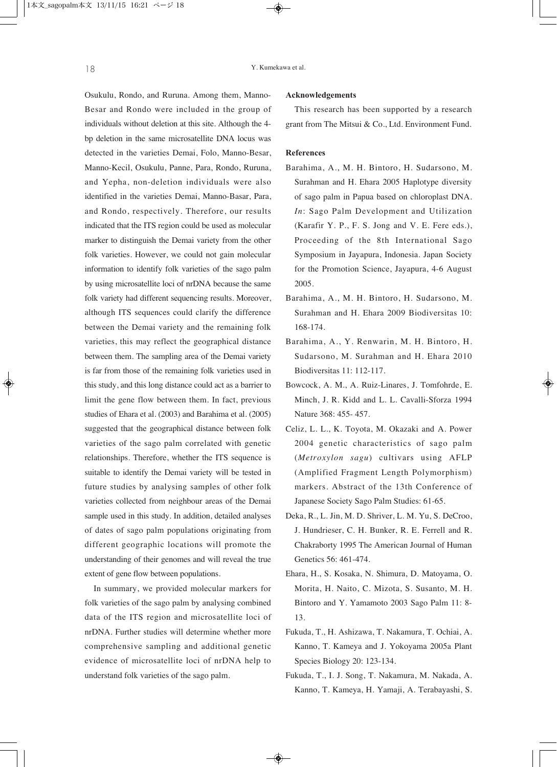Osukulu, Rondo, and Ruruna. Among them, Manno-Besar and Rondo were included in the group of individuals without deletion at this site. Although the 4 bp deletion in the same microsatellite DNA locus was detected in the varieties Demai, Folo, Manno-Besar, Manno-Kecil, Osukulu, Panne, Para, Rondo, Ruruna, and Yepha, non-deletion individuals were also identified in the varieties Demai, Manno-Basar, Para, and Rondo, respectively. Therefore, our results indicated that the ITS region could be used as molecular marker to distinguish the Demai variety from the other folk varieties. However, we could not gain molecular information to identify folk varieties of the sago palm by using microsatellite loci of nrDNA because the same folk variety had different sequencing results. Moreover, although ITS sequences could clarify the difference between the Demai variety and the remaining folk varieties, this may reflect the geographical distance between them. The sampling area of the Demai variety is far from those of the remaining folk varieties used in this study, and this long distance could act as a barrier to limit the gene flow between them. In fact, previous studies of Ehara et al. (2003) and Barahima et al. (2005) suggested that the geographical distance between folk varieties of the sago palm correlated with genetic relationships. Therefore, whether the ITS sequence is suitable to identify the Demai variety will be tested in future studies by analysing samples of other folk varieties collected from neighbour areas of the Demai sample used in this study. In addition, detailed analyses of dates of sago palm populations originating from different geographic locations will promote the understanding of their genomes and will reveal the true extent of gene flow between populations.

In summary, we provided molecular markers for folk varieties of the sago palm by analysing combined data of the ITS region and microsatellite loci of nrDNA. Further studies will determine whether more comprehensive sampling and additional genetic evidence of microsatellite loci of nrDNA help to understand folk varieties of the sago palm.

#### **Acknowledgements**

This research has been supported by a research grant from The Mitsui & Co., Ltd. Environment Fund.

## **References**

- Barahima, A., M. H. Bintoro, H. Sudarsono, M. Surahman and H. Ehara 2005 Haplotype diversity of sago palm in Papua based on chloroplast DNA. *In*: Sago Palm Development and Utilization (Karafir Y. P., F. S. Jong and V. E. Fere eds.), Proceeding of the 8th International Sago Symposium in Jayapura, Indonesia. Japan Society for the Promotion Science, Jayapura, 4-6 August 2005.
- Barahima, A., M. H. Bintoro, H. Sudarsono, M. Surahman and H. Ehara 2009 Biodiversitas 10: 168-174.
- Barahima, A., Y. Renwarin, M. H. Bintoro, H. Sudarsono, M. Surahman and H. Ehara 2010 Biodiversitas 11: 112-117.
- Bowcock, A. M., A. Ruiz-Linares, J. Tomfohrde, E. Minch, J. R. Kidd and L. L. Cavalli-Sforza 1994 Nature 368: 455- 457.
- Celiz, L. L., K. Toyota, M. Okazaki and A. Power 2004 genetic characteristics of sago palm (*Metroxylon sagu*) cultivars using AFLP (Amplified Fragment Length Polymorphism) markers. Abstract of the 13th Conference of Japanese Society Sago Palm Studies: 61-65.
- Deka, R., L. Jin, M. D. Shriver, L. M. Yu, S. DeCroo, J. Hundrieser, C. H. Bunker, R. E. Ferrell and R. Chakraborty 1995 The American Journal of Human Genetics 56: 461-474.
- Ehara, H., S. Kosaka, N. Shimura, D. Matoyama, O. Morita, H. Naito, C. Mizota, S. Susanto, M. H. Bintoro and Y. Yamamoto 2003 Sago Palm 11: 8- 13.
- Fukuda, T., H. Ashizawa, T. Nakamura, T. Ochiai, A. Kanno, T. Kameya and J. Yokoyama 2005a Plant Species Biology 20: 123-134.
- Fukuda, T., I. J. Song, T. Nakamura, M. Nakada, A. Kanno, T. Kameya, H. Yamaji, A. Terabayashi, S.